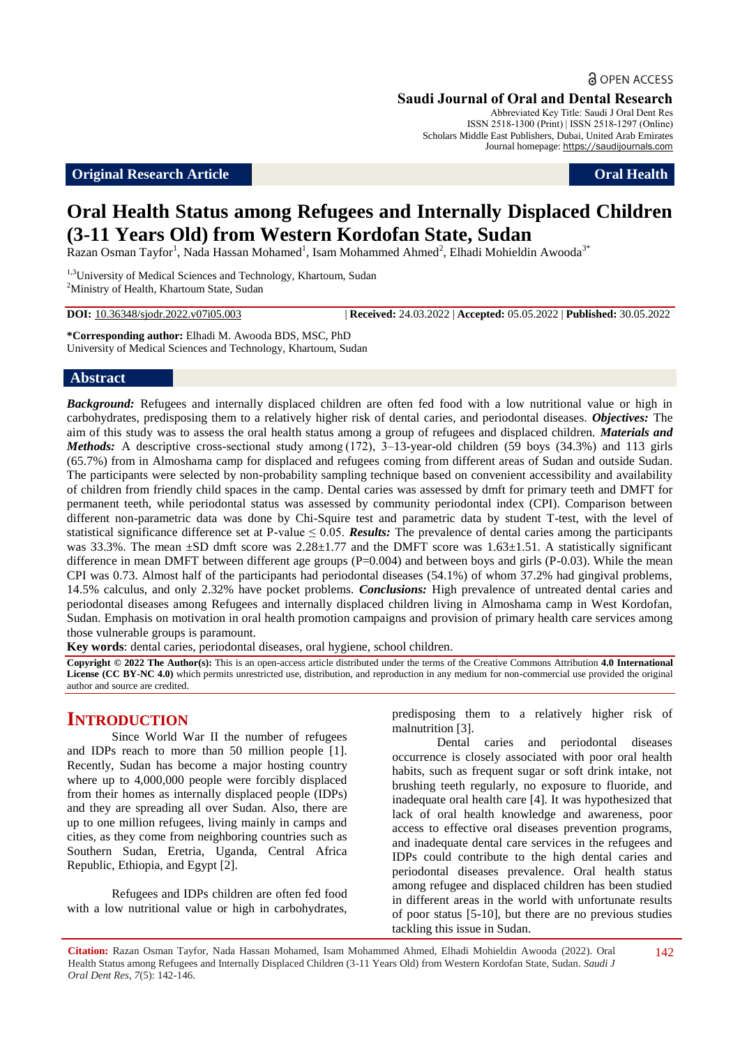**a** OPEN ACCESS

**Saudi Journal of Oral and Dental Research**

Abbreviated Key Title: Saudi J Oral Dent Res ISSN 2518-1300 (Print) | ISSN 2518-1297 (Online) Scholars Middle East Publishers, Dubai, United Arab Emirates Journal homepage: https://saudijournals.com

#### **Original Research Article Oral Health**

# **Oral Health Status among Refugees and Internally Displaced Children (3-11 Years Old) from Western Kordofan State, Sudan**

Razan Osman Tayfor<sup>1</sup>, Nada Hassan Mohamed<sup>1</sup>, Isam Mohammed Ahmed<sup>2</sup>, Elhadi Mohieldin Awooda<sup>3\*</sup>

<sup>1,3</sup>University of Medical Sciences and Technology, Khartoum, Sudan <sup>2</sup>Ministry of Health, Khartoum State, Sudan

**DOI:** 10.36348/sjodr.2022.v07i05.003 | **Received:** 24.03.2022 | **Accepted:** 05.05.2022 | **Published:** 30.05.2022

**\*Corresponding author:** Elhadi M. Awooda BDS, MSC, PhD University of Medical Sciences and Technology, Khartoum, Sudan

#### **Abstract**

*Background:* Refugees and internally displaced children are often fed food with a low nutritional value or high in carbohydrates, predisposing them to a relatively higher risk of dental caries, and periodontal diseases. *Objectives:* The aim of this study was to assess the oral health status among a group of refugees and displaced children. *Materials and Methods:* A descriptive cross-sectional study among (172), 3–13-year-old children (59 boys (34.3%) and 113 girls (65.7%) from in Almoshama camp for displaced and refugees coming from different areas of Sudan and outside Sudan. The participants were selected by non-probability sampling technique based on convenient accessibility and availability of children from friendly child spaces in the camp. Dental caries was assessed by dmft for primary teeth and DMFT for permanent teeth, while periodontal status was assessed by community periodontal index (CPI). Comparison between different non-parametric data was done by Chi-Squire test and parametric data by student T-test, with the level of statistical significance difference set at P-value  $\leq$  0.05. **Results:** The prevalence of dental caries among the participants was 33.3%. The mean  $\pm$ SD dmft score was 2.28 $\pm$ 1.77 and the DMFT score was 1.63 $\pm$ 1.51. A statistically significant difference in mean DMFT between different age groups (P=0.004) and between boys and girls (P-0.03). While the mean CPI was 0.73. Almost half of the participants had periodontal diseases (54.1%) of whom 37.2% had gingival problems, 14.5% calculus, and only 2.32% have pocket problems. *Conclusions:* High prevalence of untreated dental caries and periodontal diseases among Refugees and internally displaced children living in Almoshama camp in West Kordofan, Sudan. Emphasis on motivation in oral health promotion campaigns and provision of primary health care services among those vulnerable groups is paramount.

**Key words**: dental caries, periodontal diseases, oral hygiene, school children.

**Copyright © 2022 The Author(s):** This is an open-access article distributed under the terms of the Creative Commons Attribution **4.0 International License (CC BY-NC 4.0)** which permits unrestricted use, distribution, and reproduction in any medium for non-commercial use provided the original author and source are credited.

# **INTRODUCTION**

Since World War II the number of refugees and IDPs reach to more than 50 million people [1]. Recently, Sudan has become a major hosting country where up to 4,000,000 people were forcibly displaced from their homes as internally displaced people (IDPs) and they are spreading all over Sudan. Also, there are up to one million refugees, living mainly in camps and cities, as they come from neighboring countries such as Southern Sudan, Eretria, Uganda, Central Africa Republic, Ethiopia, and Egypt [2].

Refugees and IDPs children are often fed food with a low nutritional value or high in carbohydrates,

predisposing them to a relatively higher risk of malnutrition [3].

Dental caries and periodontal diseases occurrence is closely associated with poor oral health habits, such as frequent sugar or soft drink intake, not brushing teeth regularly, no exposure to fluoride, and inadequate oral health care [4]. It was hypothesized that lack of oral health knowledge and awareness, poor access to effective oral diseases prevention programs, and inadequate dental care services in the refugees and IDPs could contribute to the high dental caries and periodontal diseases prevalence. Oral health status among refugee and displaced children has been studied in different areas in the world with unfortunate results of poor status [5-10], but there are no previous studies tackling this issue in Sudan.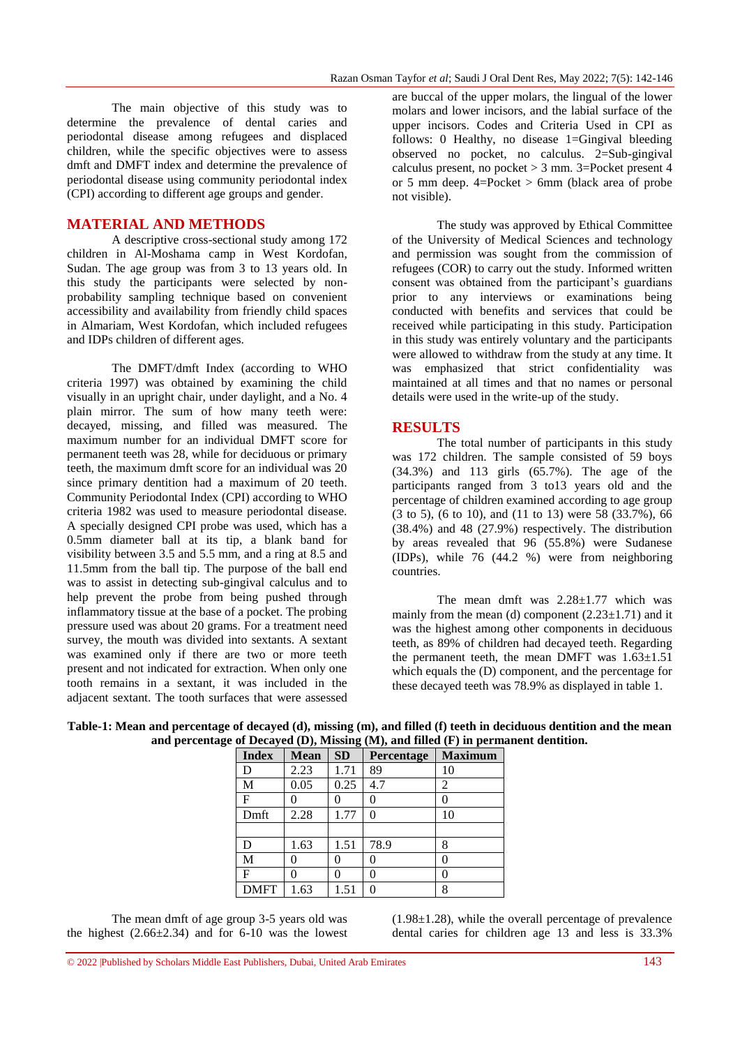The main objective of this study was to determine the prevalence of dental caries and periodontal disease among refugees and displaced children, while the specific objectives were to assess dmft and DMFT index and determine the prevalence of periodontal disease using community periodontal index (CPI) according to different age groups and gender.

#### **MATERIAL AND METHODS**

A descriptive cross-sectional study among 172 children in Al-Moshama camp in West Kordofan, Sudan. The age group was from 3 to 13 years old. In this study the participants were selected by nonprobability sampling technique based on convenient accessibility and availability from friendly child spaces in Almariam, West Kordofan, which included refugees and IDPs children of different ages.

The DMFT/dmft Index (according to WHO criteria 1997) was obtained by examining the child visually in an upright chair, under daylight, and a No. 4 plain mirror. The sum of how many teeth were: decayed, missing, and filled was measured. The maximum number for an individual DMFT score for permanent teeth was 28, while for deciduous or primary teeth, the maximum dmft score for an individual was 20 since primary dentition had a maximum of 20 teeth. Community Periodontal Index (CPI) according to WHO criteria 1982 was used to measure periodontal disease. A specially designed CPI probe was used, which has a 0.5mm diameter ball at its tip, a blank band for visibility between 3.5 and 5.5 mm, and a ring at 8.5 and 11.5mm from the ball tip. The purpose of the ball end was to assist in detecting sub-gingival calculus and to help prevent the probe from being pushed through inflammatory tissue at the base of a pocket. The probing pressure used was about 20 grams. For a treatment need survey, the mouth was divided into sextants. A sextant was examined only if there are two or more teeth present and not indicated for extraction. When only one tooth remains in a sextant, it was included in the adjacent sextant. The tooth surfaces that were assessed

are buccal of the upper molars, the lingual of the lower molars and lower incisors, and the labial surface of the upper incisors. Codes and Criteria Used in CPI as follows: 0 Healthy, no disease 1=Gingival bleeding observed no pocket, no calculus. 2=Sub-gingival calculus present, no pocket  $> 3$  mm. 3=Pocket present 4 or 5 mm deep. 4=Pocket > 6mm (black area of probe not visible).

The study was approved by Ethical Committee of the University of Medical Sciences and technology and permission was sought from the commission of refugees (COR) to carry out the study. Informed written consent was obtained from the participant's guardians prior to any interviews or examinations being conducted with benefits and services that could be received while participating in this study. Participation in this study was entirely voluntary and the participants were allowed to withdraw from the study at any time. It was emphasized that strict confidentiality was maintained at all times and that no names or personal details were used in the write-up of the study.

#### **RESULTS**

The total number of participants in this study was 172 children. The sample consisted of 59 boys (34.3%) and 113 girls (65.7%). The age of the participants ranged from 3 to13 years old and the percentage of children examined according to age group  $(3 \text{ to } 5)$ ,  $(6 \text{ to } 10)$ , and  $(11 \text{ to } 13)$  were  $58 \ (33.7\%)$ ,  $66$ (38.4%) and 48 (27.9%) respectively. The distribution by areas revealed that 96 (55.8%) were Sudanese (IDPs), while 76 (44.2 %) were from neighboring countries.

The mean dmft was 2.28±1.77 which was mainly from the mean (d) component  $(2.23 \pm 1.71)$  and it was the highest among other components in deciduous teeth, as 89% of children had decayed teeth. Regarding the permanent teeth, the mean DMFT was  $1.63 \pm 1.51$ which equals the (D) component, and the percentage for these decayed teeth was 78.9% as displayed in table 1.

| <b>Index</b> | <b>Mean</b> | <b>SD</b> | Percentage | <b>Maximum</b> |
|--------------|-------------|-----------|------------|----------------|
| D            | 2.23        | 1.71      | 89         | 10             |
| М            | 0.05        | 0.25      | 4.7        | 2              |
| F            |             | 0         | 0          | 0              |
| Dmft         | 2.28        | 1.77      | 0          | 10             |
|              |             |           |            |                |
| D            | 1.63        | 1.51      | 78.9       | 8              |
| М            | 0           | 0         | 0          | 0              |
| F            | 0           | 0         | 0          | 0              |
| <b>DMFT</b>  | 1.63        | 1.51      | 0          | 8              |

# **Table-1: Mean and percentage of decayed (d), missing (m), and filled (f) teeth in deciduous dentition and the mean and percentage of Decayed (D), Missing (M), and filled (F) in permanent dentition.**

The mean dmft of age group 3-5 years old was the highest  $(2.66\pm2.34)$  and for 6-10 was the lowest  $(1.98\pm1.28)$ , while the overall percentage of prevalence dental caries for children age 13 and less is 33.3%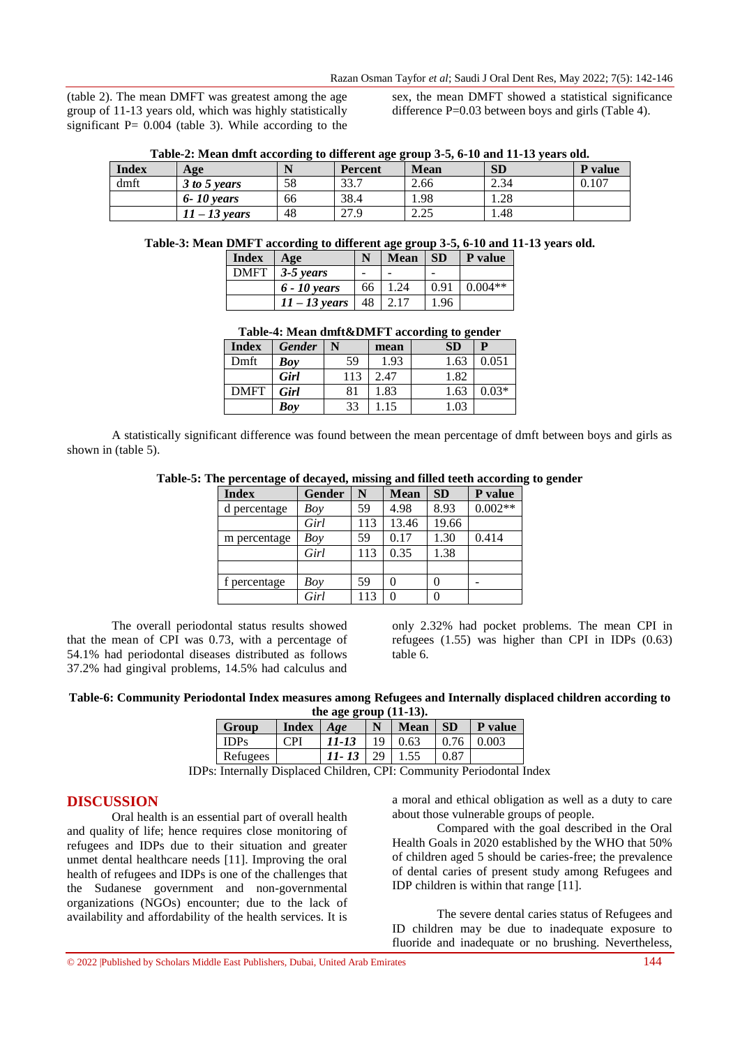(table 2). The mean DMFT was greatest among the age group of 11-13 years old, which was highly statistically significant  $P = 0.004$  (table 3). While according to the

sex, the mean DMFT showed a statistical significance difference P=0.03 between boys and girls (Table 4).

| <b>Index</b> | Age             |    | <b>Percent</b> | <b>Mean</b>      | <b>SD</b> | <b>P</b> value |
|--------------|-----------------|----|----------------|------------------|-----------|----------------|
| dmft         | 3 to 5 years    | 58 | 33.7           | 2.66             | 2.34      | 0.107          |
|              | $6 - 10$ years  | 66 | 38.4           | 1.98             | 1.28      |                |
|              | $11 - 13$ years | 48 | 27 Q<br>41.5   | າ າ ເ<br>ل کے وک | .48       |                |

**Table-2: Mean dmft according to different age group 3-5, 6-10 and 11-13 years old.**

#### **Table-3: Mean DMFT according to different age group 3-5, 6-10 and 11-13 years old.**

| <b>Index</b> | Age              | N    | <b>Mean</b> | SD   | P value   |
|--------------|------------------|------|-------------|------|-----------|
|              | $DMFT$ 3-5 years |      |             |      |           |
|              | $6 - 10$ years   | 66 l | 1.24        | 0.91 | $0.004**$ |
|              | $11 - 13$ years  |      | 48 2.17     | 1.96 |           |

| Table-4: Mean dmft&DMFT according to gender |                            |  |      |           |                  |  |  |
|---------------------------------------------|----------------------------|--|------|-----------|------------------|--|--|
|                                             | $Index \mid Gender \mid N$ |  | mean | <b>SD</b> |                  |  |  |
| $D_m f_t$                                   |                            |  |      |           | $1.62 \pm 0.051$ |  |  |

| ----------  | ------- | - - | .    | ___  | -       |
|-------------|---------|-----|------|------|---------|
| Dmft        | Boy     | 59  | 1.93 | 1.63 | 0.051   |
|             | Girl    | 113 | 2.47 | 1.82 |         |
| <b>DMFT</b> | Girl    | 81  | 1.83 | 1.63 | $0.03*$ |
|             | Bov     | 33  | .15  | 1.03 |         |
|             |         |     |      |      |         |

A statistically significant difference was found between the mean percentage of dmft between boys and girls as shown in (table 5).

| Table-5: The percentage of decayed, missing and filled teeth according to gender |  |  |  |  |  |  |
|----------------------------------------------------------------------------------|--|--|--|--|--|--|
|----------------------------------------------------------------------------------|--|--|--|--|--|--|

| <b>Index</b> | Gender | N   | <b>Mean</b> | <b>SD</b> | P value   |
|--------------|--------|-----|-------------|-----------|-----------|
| d percentage | Boy    | 59  | 4.98        | 8.93      | $0.002**$ |
|              | Girl   | 113 | 13.46       | 19.66     |           |
| m percentage | Boy    | 59  | 0.17        | 1.30      | 0.414     |
|              | Girl   | 113 | 0.35        | 1.38      |           |
|              |        |     |             |           |           |
| f percentage | Boy    | 59  | 0           | 0         |           |
|              | Girl   | 113 |             | 0         |           |

The overall periodontal status results showed that the mean of CPI was 0.73, with a percentage of 54.1% had periodontal diseases distributed as follows 37.2% had gingival problems, 14.5% had calculus and

only 2.32% had pocket problems. The mean CPI in refugees (1.55) was higher than CPI in IDPs (0.63) table 6.

**Table-6: Community Periodontal Index measures among Refugees and Internally displaced children according to the age group (11-13).**

| Group       | <b>Index</b>    | Age   |     | <b>Mean</b> | <b>SD</b> | P value |
|-------------|-----------------|-------|-----|-------------|-----------|---------|
| <b>IDPs</b> | $\mathbb{C}$ PI | 11-13 | 19. | 0.63        | 0.76      | 0.003   |
| Refugees    |                 | 11-13 | 29  |             | 0.87      |         |

IDPs: Internally Displaced Children, CPI: Community Periodontal Index

# **DISCUSSION**

Oral health is an essential part of overall health and quality of life; hence requires close monitoring of refugees and IDPs due to their situation and greater unmet dental healthcare needs [11]. Improving the oral health of refugees and IDPs is one of the challenges that the Sudanese government and non-governmental organizations (NGOs) encounter; due to the lack of availability and affordability of the health services. It is

a moral and ethical obligation as well as a duty to care about those vulnerable groups of people.

Compared with the goal described in the Oral Health Goals in 2020 established by the WHO that 50% of children aged 5 should be caries-free; the prevalence of dental caries of present study among Refugees and IDP children is within that range [11].

The severe dental caries status of Refugees and ID children may be due to inadequate exposure to fluoride and inadequate or no brushing. Nevertheless,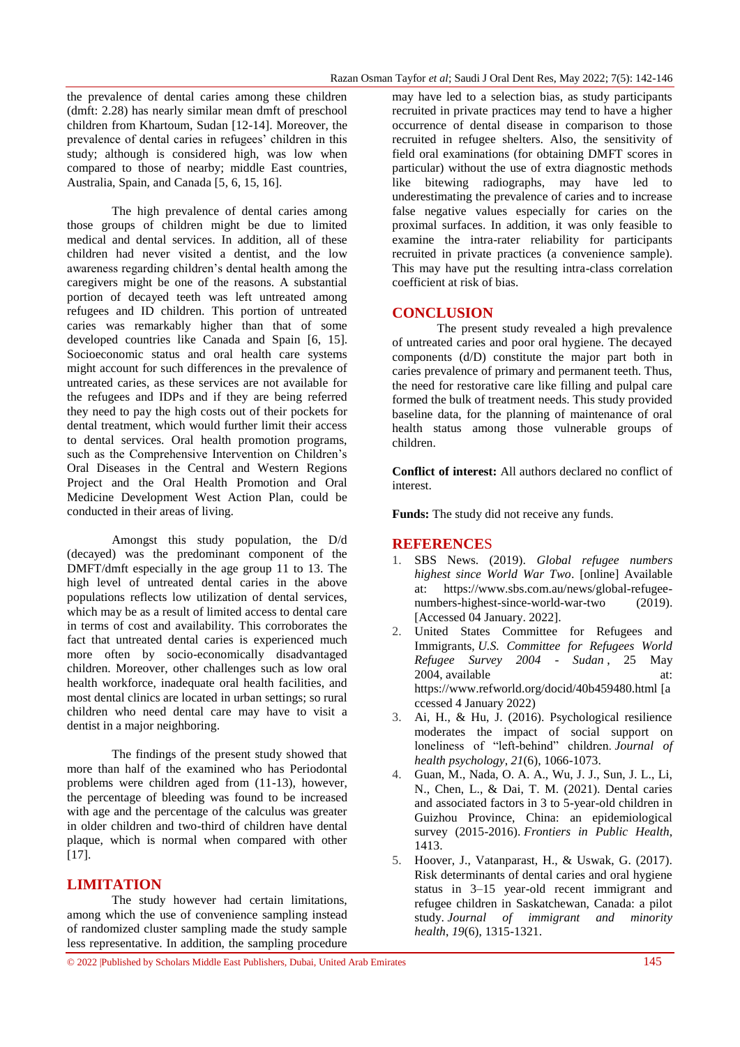the prevalence of dental caries among these children (dmft: 2.28) has nearly similar mean dmft of preschool children from Khartoum, Sudan [12-14]. Moreover, the prevalence of dental caries in refugees' children in this study; although is considered high, was low when compared to those of nearby; middle East countries, Australia, Spain, and Canada [5, 6, 15, 16].

The high prevalence of dental caries among those groups of children might be due to limited medical and dental services. In addition, all of these children had never visited a dentist, and the low awareness regarding children's dental health among the caregivers might be one of the reasons. A substantial portion of decayed teeth was left untreated among refugees and ID children. This portion of untreated caries was remarkably higher than that of some developed countries like Canada and Spain [6, 15]. Socioeconomic status and oral health care systems might account for such differences in the prevalence of untreated caries, as these services are not available for the refugees and IDPs and if they are being referred they need to pay the high costs out of their pockets for dental treatment, which would further limit their access to dental services. Oral health promotion programs, such as the Comprehensive Intervention on Children's Oral Diseases in the Central and Western Regions Project and the Oral Health Promotion and Oral Medicine Development West Action Plan, could be conducted in their areas of living.

Amongst this study population, the D/d (decayed) was the predominant component of the DMFT/dmft especially in the age group 11 to 13. The high level of untreated dental caries in the above populations reflects low utilization of dental services, which may be as a result of limited access to dental care in terms of cost and availability. This corroborates the fact that untreated dental caries is experienced much more often by socio-economically disadvantaged children. Moreover, other challenges such as low oral health workforce, inadequate oral health facilities, and most dental clinics are located in urban settings; so rural children who need dental care may have to visit a dentist in a major neighboring.

The findings of the present study showed that more than half of the examined who has Periodontal problems were children aged from (11-13), however, the percentage of bleeding was found to be increased with age and the percentage of the calculus was greater in older children and two-third of children have dental plaque, which is normal when compared with other [17].

# **LIMITATION**

The study however had certain limitations, among which the use of convenience sampling instead of randomized cluster sampling made the study sample less representative. In addition, the sampling procedure

may have led to a selection bias, as study participants recruited in private practices may tend to have a higher occurrence of dental disease in comparison to those recruited in refugee shelters. Also, the sensitivity of field oral examinations (for obtaining DMFT scores in particular) without the use of extra diagnostic methods like bitewing radiographs, may have led to underestimating the prevalence of caries and to increase false negative values especially for caries on the proximal surfaces. In addition, it was only feasible to examine the intra-rater reliability for participants recruited in private practices (a convenience sample). This may have put the resulting intra-class correlation coefficient at risk of bias.

### **CONCLUSION**

The present study revealed a high prevalence of untreated caries and poor oral hygiene. The decayed components (d/D) constitute the major part both in caries prevalence of primary and permanent teeth. Thus, the need for restorative care like filling and pulpal care formed the bulk of treatment needs. This study provided baseline data, for the planning of maintenance of oral health status among those vulnerable groups of children.

**Conflict of interest:** All authors declared no conflict of interest.

**Funds:** The study did not receive any funds.

# **REFERENCE**S

- 1. SBS News. (2019). *Global refugee numbers highest since World War Two*. [online] Available at: [https://www.sbs.com.au/news/global-refugee](https://www.sbs.com.au/news/global-refugee-numbers-highest-since-world-war-two)[numbers-highest-since-world-war-two](https://www.sbs.com.au/news/global-refugee-numbers-highest-since-world-war-two) (2019). [Accessed 04 January. 2022].
- 2. United States Committee for Refugees and Immigrants, *U.S. Committee for Refugees World Refugee Survey 2004 - Sudan* , 25 May 2004, available at: https://www.refworld.org/docid/40b459480.html [a ccessed 4 January 2022)
- 3. Ai, H., & Hu, J. (2016). Psychological resilience moderates the impact of social support on loneliness of "left-behind" children. *Journal of health psychology*, *21*(6), 1066-1073.
- 4. Guan, M., Nada, O. A. A., Wu, J. J., Sun, J. L., Li, N., Chen, L., & Dai, T. M. (2021). Dental caries and associated factors in 3 to 5-year-old children in Guizhou Province, China: an epidemiological survey (2015-2016). *Frontiers in Public Health*, 1413.
- 5. Hoover, J., Vatanparast, H., & Uswak, G. (2017). Risk determinants of dental caries and oral hygiene status in 3–15 year-old recent immigrant and refugee children in Saskatchewan, Canada: a pilot study. *Journal of immigrant and minority health*, *19*(6), 1315-1321.